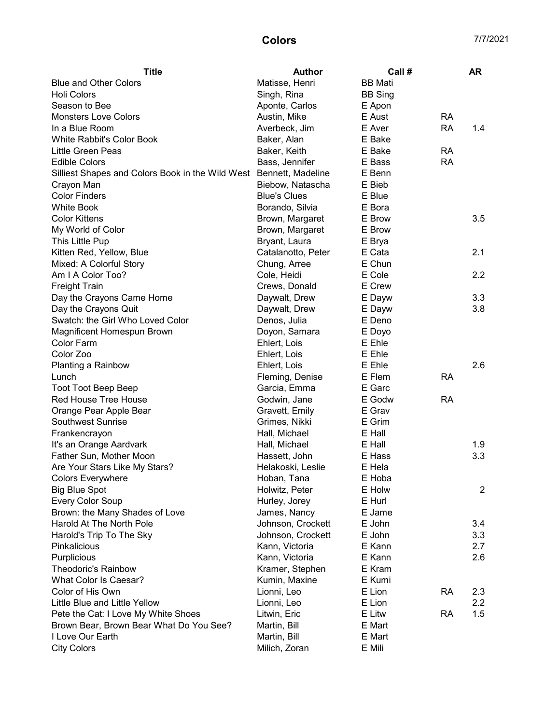## Colors 7/7/2021

| <b>Title</b>                                                       | <b>Author</b>       | Call #         |           | <b>AR</b>      |
|--------------------------------------------------------------------|---------------------|----------------|-----------|----------------|
| <b>Blue and Other Colors</b>                                       | Matisse, Henri      | <b>BB</b> Mati |           |                |
| <b>Holi Colors</b>                                                 | Singh, Rina         | <b>BB Sing</b> |           |                |
| Season to Bee                                                      | Aponte, Carlos      | E Apon         |           |                |
| <b>Monsters Love Colors</b>                                        | Austin, Mike        | E Aust         | <b>RA</b> |                |
| In a Blue Room                                                     | Averbeck, Jim       | E Aver         | <b>RA</b> | 1.4            |
| White Rabbit's Color Book                                          | Baker, Alan         | E Bake         |           |                |
| Little Green Peas                                                  | Baker, Keith        | E Bake         | <b>RA</b> |                |
| <b>Edible Colors</b>                                               | Bass, Jennifer      | E Bass         | <b>RA</b> |                |
| Silliest Shapes and Colors Book in the Wild West Bennett, Madeline |                     | E Benn         |           |                |
| Crayon Man                                                         | Biebow, Natascha    | E Bieb         |           |                |
| <b>Color Finders</b>                                               | <b>Blue's Clues</b> | E Blue         |           |                |
| <b>White Book</b>                                                  | Borando, Silvia     | E Bora         |           |                |
| <b>Color Kittens</b>                                               | Brown, Margaret     | E Brow         |           | 3.5            |
| My World of Color                                                  | Brown, Margaret     | E Brow         |           |                |
| This Little Pup                                                    | Bryant, Laura       | E Brya         |           |                |
| Kitten Red, Yellow, Blue                                           | Catalanotto, Peter  | E Cata         |           | 2.1            |
| Mixed: A Colorful Story                                            | Chung, Arree        | E Chun         |           |                |
| Am I A Color Too?                                                  | Cole, Heidi         | E Cole         |           | 2.2            |
| <b>Freight Train</b>                                               | Crews, Donald       | E Crew         |           |                |
| Day the Crayons Came Home                                          | Daywalt, Drew       | E Dayw         |           | 3.3            |
| Day the Crayons Quit                                               | Daywalt, Drew       | E Dayw         |           | 3.8            |
| Swatch: the Girl Who Loved Color                                   | Denos, Julia        | E Deno         |           |                |
| Magnificent Homespun Brown                                         | Doyon, Samara       | E Doyo         |           |                |
| <b>Color Farm</b>                                                  | Ehlert, Lois        | E Ehle         |           |                |
| Color Zoo                                                          | Ehlert, Lois        | E Ehle         |           |                |
| Planting a Rainbow                                                 | Ehlert, Lois        | E Ehle         |           | 2.6            |
| Lunch                                                              | Fleming, Denise     | E Flem         | <b>RA</b> |                |
| <b>Toot Toot Beep Beep</b>                                         | Garcia, Emma        | E Garc         |           |                |
| Red House Tree House                                               | Godwin, Jane        | E Godw         | <b>RA</b> |                |
| Orange Pear Apple Bear                                             | Gravett, Emily      | E Grav         |           |                |
| <b>Southwest Sunrise</b>                                           | Grimes, Nikki       | E Grim         |           |                |
| Frankencrayon                                                      | Hall, Michael       | E Hall         |           |                |
| It's an Orange Aardvark                                            | Hall, Michael       | E Hall         |           | 1.9            |
| Father Sun, Mother Moon                                            | Hassett, John       | E Hass         |           | 3.3            |
| Are Your Stars Like My Stars?                                      | Helakoski, Leslie   | E Hela         |           |                |
| <b>Colors Everywhere</b>                                           | Hoban, Tana         | E Hoba         |           |                |
|                                                                    | Holwitz, Peter      | E Holw         |           | $\overline{2}$ |
| <b>Big Blue Spot</b>                                               |                     | E Hurl         |           |                |
| <b>Every Color Soup</b>                                            | Hurley, Jorey       | E Jame         |           |                |
| Brown: the Many Shades of Love                                     | James, Nancy        | E John         |           |                |
| Harold At The North Pole                                           | Johnson, Crockett   |                |           | 3.4            |
| Harold's Trip To The Sky                                           | Johnson, Crockett   | E John         |           | 3.3            |
| <b>Pinkalicious</b>                                                | Kann, Victoria      | E Kann         |           | 2.7            |
| Purplicious                                                        | Kann, Victoria      | E Kann         |           | 2.6            |
| <b>Theodoric's Rainbow</b>                                         | Kramer, Stephen     | E Kram         |           |                |
| What Color Is Caesar?                                              | Kumin, Maxine       | E Kumi         |           |                |
| Color of His Own                                                   | Lionni, Leo         | E Lion         | <b>RA</b> | 2.3            |
| Little Blue and Little Yellow                                      | Lionni, Leo         | E Lion         |           | $2.2\,$        |
| Pete the Cat: I Love My White Shoes                                | Litwin, Eric        | E Litw         | <b>RA</b> | 1.5            |
| Brown Bear, Brown Bear What Do You See?                            | Martin, Bill        | E Mart         |           |                |
| I Love Our Earth                                                   | Martin, Bill        | E Mart         |           |                |
| <b>City Colors</b>                                                 | Milich, Zoran       | E Mili         |           |                |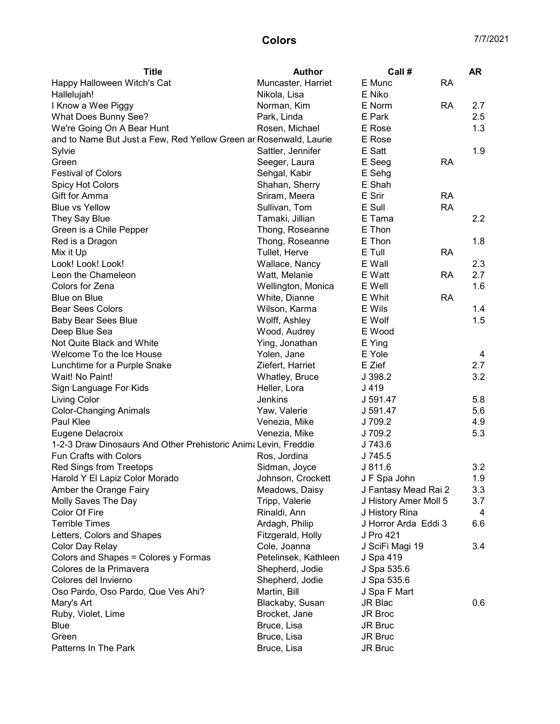| <b>Title</b>                                                      | <b>Author</b>        | Call #                |           | <b>AR</b>        |
|-------------------------------------------------------------------|----------------------|-----------------------|-----------|------------------|
| Happy Halloween Witch's Cat                                       | Muncaster, Harriet   | E Munc                | <b>RA</b> |                  |
| Hallelujah!                                                       | Nikola, Lisa         | E Niko                |           |                  |
| I Know a Wee Piggy                                                | Norman, Kim          | E Norm                | RA        | 2.7              |
| What Does Bunny See?                                              | Park, Linda          | E Park                |           | 2.5              |
| We're Going On A Bear Hunt                                        | Rosen, Michael       | E Rose                |           | 1.3              |
| and to Name But Just a Few, Red Yellow Green ar Rosenwald, Laurie |                      | E Rose                |           |                  |
| Sylvie                                                            | Sattler, Jennifer    | E Satt                |           | 1.9              |
| Green                                                             | Seeger, Laura        | E Seeg                | <b>RA</b> |                  |
| <b>Festival of Colors</b>                                         | Sehgal, Kabir        | E Sehg                |           |                  |
| <b>Spicy Hot Colors</b>                                           | Shahan, Sherry       | E Shah                |           |                  |
| Gift for Amma                                                     | Sriram, Meera        | E Srir                | <b>RA</b> |                  |
| <b>Blue vs Yellow</b>                                             | Sullivan, Tom        | E Sull                | <b>RA</b> |                  |
| They Say Blue                                                     | Tamaki, Jillian      | E Tama                |           | $2.2\phantom{0}$ |
| Green is a Chile Pepper                                           | Thong, Roseanne      | E Thon                |           |                  |
| Red is a Dragon                                                   | Thong, Roseanne      | E Thon                |           | 1.8              |
| Mix it Up                                                         | Tullet, Herve        | E Tull                | <b>RA</b> |                  |
| Look! Look! Look!                                                 | Wallace, Nancy       | E Wall                |           | 2.3              |
| Leon the Chameleon                                                | Watt, Melanie        | E Watt                | <b>RA</b> | 2.7              |
| Colors for Zena                                                   | Wellington, Monica   | E Well                |           | 1.6              |
| Blue on Blue                                                      | White, Dianne        | E Whit                | <b>RA</b> |                  |
| <b>Bear Sees Colors</b>                                           | Wilson, Karma        | E Wils                |           | 1.4              |
| <b>Baby Bear Sees Blue</b>                                        | Wolff, Ashley        | E Wolf                |           | 1.5              |
| Deep Blue Sea                                                     | Wood, Audrey         | E Wood                |           |                  |
| Not Quite Black and White                                         | Ying, Jonathan       | E Ying                |           |                  |
| Welcome To the Ice House                                          | Yolen, Jane          | E Yole                |           | 4                |
| Lunchtime for a Purple Snake                                      | Ziefert, Harriet     | E Zief                |           | 2.7              |
| Wait! No Paint!                                                   | Whatley, Bruce       | J 398.2               |           | 3.2              |
| Sign Language For Kids                                            | Heller, Lora         | J 419                 |           |                  |
| Living Color                                                      | Jenkins              | J 591.47              |           | 5.8              |
| <b>Color-Changing Animals</b>                                     | Yaw, Valerie         | J 591.47              |           | 5.6              |
| Paul Klee                                                         | Venezia, Mike        | J 709.2               |           | 4.9              |
| Eugene Delacroix                                                  | Venezia, Mike        | J 709.2               |           | 5.3              |
| 1-2-3 Draw Dinosaurs And Other Prehistoric Anima Levin, Freddie   |                      | J 743.6               |           |                  |
| <b>Fun Crafts with Colors</b>                                     | Ros, Jordina         | J 745.5               |           |                  |
| <b>Red Sings from Treetops</b>                                    | Sidman, Joyce        | J811.6                |           | 3.2              |
| Harold Y El Lapiz Color Morado                                    | Johnson, Crockett    | J F Spa John          |           | 1.9              |
| Amber the Orange Fairy                                            | Meadows, Daisy       | J Fantasy Mead Rai 2  |           | 3.3              |
| Molly Saves The Day                                               | Tripp, Valerie       | J History Amer Moll 5 |           | 3.7              |
| Color Of Fire                                                     | Rinaldi, Ann         | J History Rina        |           | 4                |
| <b>Terrible Times</b>                                             | Ardagh, Philip       | J Horror Arda Eddi 3  |           | 6.6              |
| Letters, Colors and Shapes                                        | Fitzgerald, Holly    | J Pro 421             |           |                  |
| Color Day Relay                                                   | Cole, Joanna         | J SciFi Magi 19       |           | 3.4              |
| Colors and Shapes = Colores y Formas                              | Petelinsek, Kathleen | J Spa 419             |           |                  |
| Colores de la Primavera                                           | Shepherd, Jodie      | J Spa 535.6           |           |                  |
| Colores del Invierno                                              | Shepherd, Jodie      | J Spa 535.6           |           |                  |
| Oso Pardo, Oso Pardo, Que Ves Ahi?                                | Martin, Bill         | J Spa F Mart          |           |                  |
| Mary's Art                                                        | Blackaby, Susan      | JR Blac               |           | 0.6              |
| Ruby, Violet, Lime                                                | Brocket, Jane        | JR Broc               |           |                  |
| Blue                                                              | Bruce, Lisa          | JR Bruc               |           |                  |
| Green                                                             | Bruce, Lisa          | JR Bruc               |           |                  |
| Patterns In The Park                                              | Bruce, Lisa          | JR Bruc               |           |                  |